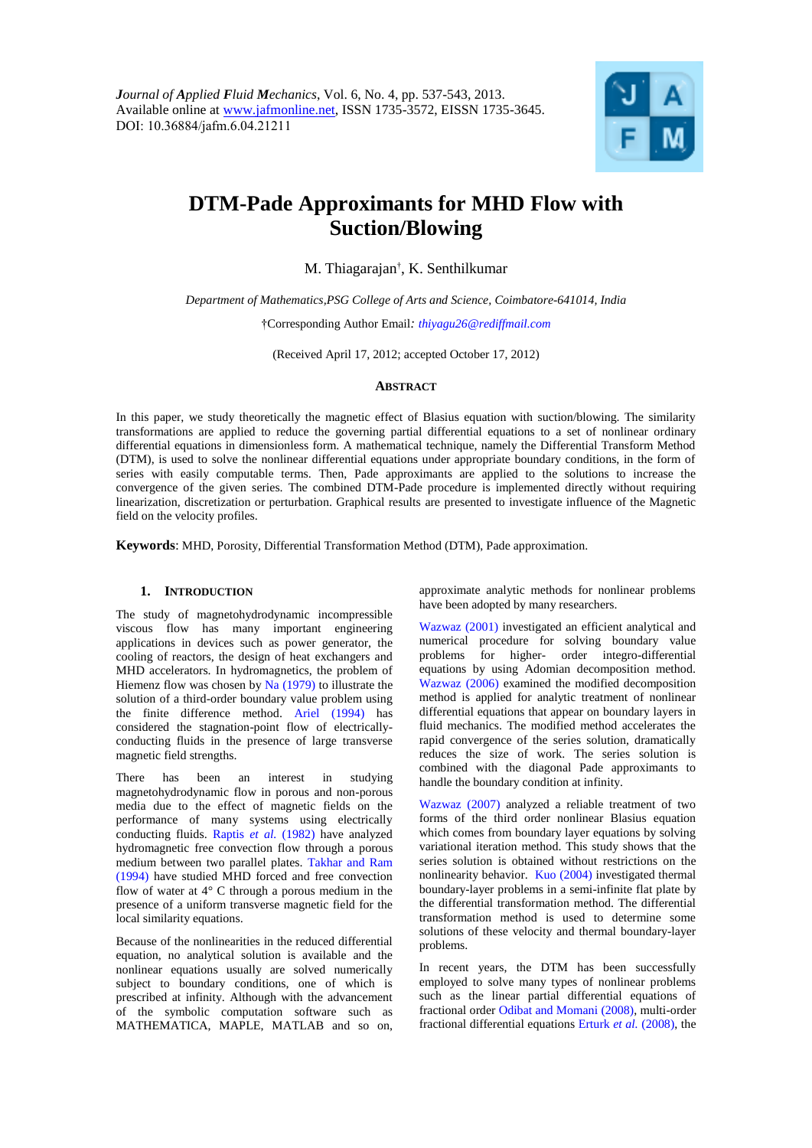

# **DTM-Pade Approximants for MHD Flow with Suction/Blowing**

M. Thiagarajan† , K. Senthilkumar

*Department of Mathematics,PSG College of Arts and Science, Coimbatore-641014, India*

†Corresponding Author Email*: thiyagu26@rediffmail.com*

(Received April 17, 2012; accepted October 17, 2012)

## **ABSTRACT**

In this paper, we study theoretically the magnetic effect of Blasius equation with suction/blowing. The similarity transformations are applied to reduce the governing partial differential equations to a set of nonlinear ordinary differential equations in dimensionless form. A mathematical technique, namely the Differential Transform Method (DTM), is used to solve the nonlinear differential equations under appropriate boundary conditions, in the form of series with easily computable terms. Then, Pade approximants are applied to the solutions to increase the convergence of the given series. The combined DTM-Pade procedure is implemented directly without requiring linearization, discretization or perturbation. Graphical results are presented to investigate influence of the Magnetic field on the velocity profiles.

**Keywords**: MHD, Porosity, Differential Transformation Method (DTM), Pade approximation.

## **1. INTRODUCTION**

The study of magnetohydrodynamic incompressible viscous flow has many important engineering applications in devices such as power generator, the cooling of reactors, the design of heat exchangers and MHD accelerators. In hydromagnetics, the problem of Hiemenz flow was chosen by Na (1979) to illustrate the solution of a third-order boundary value problem using the finite difference method. Ariel (1994) has considered the stagnation-point flow of electricallyconducting fluids in the presence of large transverse magnetic field strengths.

There has been an interest in studying magnetohydrodynamic flow in porous and non-porous media due to the effect of magnetic fields on the performance of many systems using electrically conducting fluids. Raptis *et al.* (1982) have analyzed hydromagnetic free convection flow through a porous medium between two parallel plates. Takhar and Ram (1994) have studied MHD forced and free convection flow of water at 4° C through a porous medium in the presence of a uniform transverse magnetic field for the local similarity equations.

Because of the nonlinearities in the reduced differential equation, no analytical solution is available and the nonlinear equations usually are solved numerically subject to boundary conditions, one of which is prescribed at infinity. Although with the advancement of the symbolic computation software such as MATHEMATICA, MAPLE, MATLAB and so on,

approximate analytic methods for nonlinear problems have been adopted by many researchers.

Wazwaz (2001) investigated an efficient analytical and numerical procedure for solving boundary value problems for higher- order integro-differential equations by using Adomian decomposition method. Wazwaz (2006) examined the modified decomposition method is applied for analytic treatment of nonlinear differential equations that appear on boundary layers in fluid mechanics. The modified method accelerates the rapid convergence of the series solution, dramatically reduces the size of work. The series solution is combined with the diagonal Pade approximants to handle the boundary condition at infinity.

Wazwaz (2007) analyzed a reliable treatment of two forms of the third order nonlinear Blasius equation which comes from boundary layer equations by solving variational iteration method. This study shows that the series solution is obtained without restrictions on the nonlinearity behavior. Kuo (2004) investigated thermal boundary-layer problems in a semi-infinite flat plate by the differential transformation method. The differential transformation method is used to determine some solutions of these velocity and thermal boundary-layer problems.

In recent years, the DTM has been successfully employed to solve many types of nonlinear problems such as the linear partial differential equations of fractional order Odibat and Momani (2008), multi-order fractional differential equations Erturk *et al.* (2008), the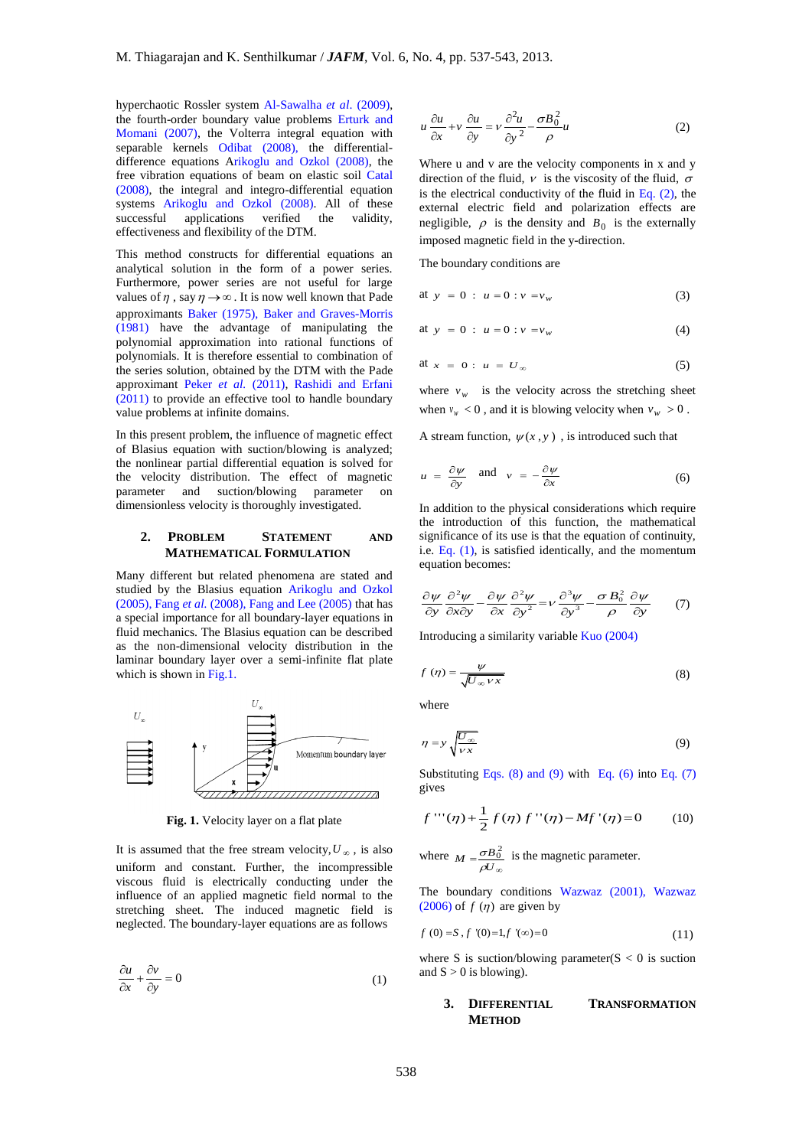hyperchaotic Rossler system Al-Sawalha *et al*. (2009), the fourth-order boundary value problems Erturk and Momani (2007), the Volterra integral equation with separable kernels Odibat (2008), the differentialdifference equations Arikoglu and Ozkol (2008), the free vibration equations of beam on elastic soil Catal (2008), the integral and integro-differential equation systems Arikoglu and Ozkol (2008). All of these<br>successful applications verified the validity, verified the validity, effectiveness and flexibility of the DTM.

This method constructs for differential equations an analytical solution in the form of a power series. Furthermore, power series are not useful for large values of  $\eta$ , say  $\eta \rightarrow \infty$ . It is now well known that Pade approximants Baker (1975), Baker and Graves-Morris (1981) have the advantage of manipulating the polynomial approximation into rational functions of polynomials. It is therefore essential to combination of the series solution, obtained by the DTM with the Pade approximant Peker *et al.* (2011), Rashidi and Erfani (2011) to provide an effective tool to handle boundary value problems at infinite domains.

In this present problem, the influence of magnetic effect of Blasius equation with suction/blowing is analyzed; the nonlinear partial differential equation is solved for the velocity distribution. The effect of magnetic parameter and suction/blowing parameter on dimensionless velocity is thoroughly investigated.

## **2. PROBLEM STATEMENT AND MATHEMATICAL FORMULATION**

Many different but related phenomena are stated and studied by the Blasius equation Arikoglu and Ozkol (2005), Fang *et al.* (2008), Fang and Lee (2005) that has a special importance for all boundary-layer equations in fluid mechanics. The Blasius equation can be described as the non-dimensional velocity distribution in the laminar boundary layer over a semi-infinite flat plate which is shown in Fig.1.



**Fig. 1.** Velocity layer on a flat plate

It is assumed that the free stream velocity,  $U_{\infty}$ , is also uniform and constant. Further, the incompressible viscous fluid is electrically conducting under the influence of an applied magnetic field normal to the stretching sheet. The induced magnetic field is neglected. The boundary-layer equations are as follows

$$
\frac{\partial u}{\partial x} + \frac{\partial v}{\partial y} = 0 \tag{1}
$$

$$
u\frac{\partial u}{\partial x} + v\frac{\partial u}{\partial y} = v\frac{\partial^2 u}{\partial y^2} - \frac{\sigma B_0^2}{\rho}u\tag{2}
$$

Where u and v are the velocity components in x and y direction of the fluid,  $\nu$  is the viscosity of the fluid,  $\sigma$ is the electrical conductivity of the fluid in Eq.  $(2)$ , the external electric field and polarization effects are negligible,  $\rho$  is the density and  $B_0$  is the externally imposed magnetic field in the y-direction.

The boundary conditions are

at 
$$
y = 0
$$
:  $u = 0$ :  $v = v_w$  (3)

at 
$$
y = 0
$$
:  $u = 0$ :  $v = v_w$  (4)

$$
at x = 0: u = U_{\infty} \tag{5}
$$

where  $v_w$  is the velocity across the stretching sheet when  $v_w < 0$ , and it is blowing velocity when  $v_w > 0$ .

A stream function,  $\psi(x, y)$ , is introduced such that

$$
u = \frac{\partial \psi}{\partial y} \quad \text{and} \quad v = -\frac{\partial \psi}{\partial x} \tag{6}
$$

In addition to the physical considerations which require the introduction of this function, the mathematical significance of its use is that the equation of continuity. i.e. Eq.  $(1)$ , is satisfied identically, and the momentum equation becomes:

$$
\frac{\partial \psi}{\partial y} \frac{\partial^2 \psi}{\partial x \partial y} - \frac{\partial \psi}{\partial x} \frac{\partial^2 \psi}{\partial y^2} = v \frac{\partial^3 \psi}{\partial y^3} - \frac{\sigma B_0^2}{\rho} \frac{\partial \psi}{\partial y}
$$
(7)

Introducing a similarity variable Kuo (2004)

$$
f(\eta) = \frac{\psi}{\sqrt{U_{\infty} V x}}
$$
 (8)

where

$$
\eta = y \sqrt{\frac{U_{\infty}}{V x}} \tag{9}
$$

Substituting Eqs.  $(8)$  and  $(9)$  with Eq.  $(6)$  into Eq.  $(7)$ gives

$$
f'''(\eta) + \frac{1}{2} f(\eta) f''(\eta) - Mf'(\eta) = 0 \tag{10}
$$

where  $M = \frac{\sigma B_0^2}{\sigma B}$  $\frac{\sigma B}{\rho U}$  $=\frac{\sigma B_0^2}{\rho U_{\infty}}$  is the magnetic parameter.

The boundary conditions Wazwaz (2001), Wazwaz  $(2006)$  of  $f(\eta)$  are given by

$$
f(0) = S, f'(0) = 1, f'(\infty) = 0
$$
\n(11)

where S is suction/blowing parameter( $S < 0$  is suction and  $S > 0$  is blowing).

## **3. DIFFERENTIAL TRANSFORMATION METHOD**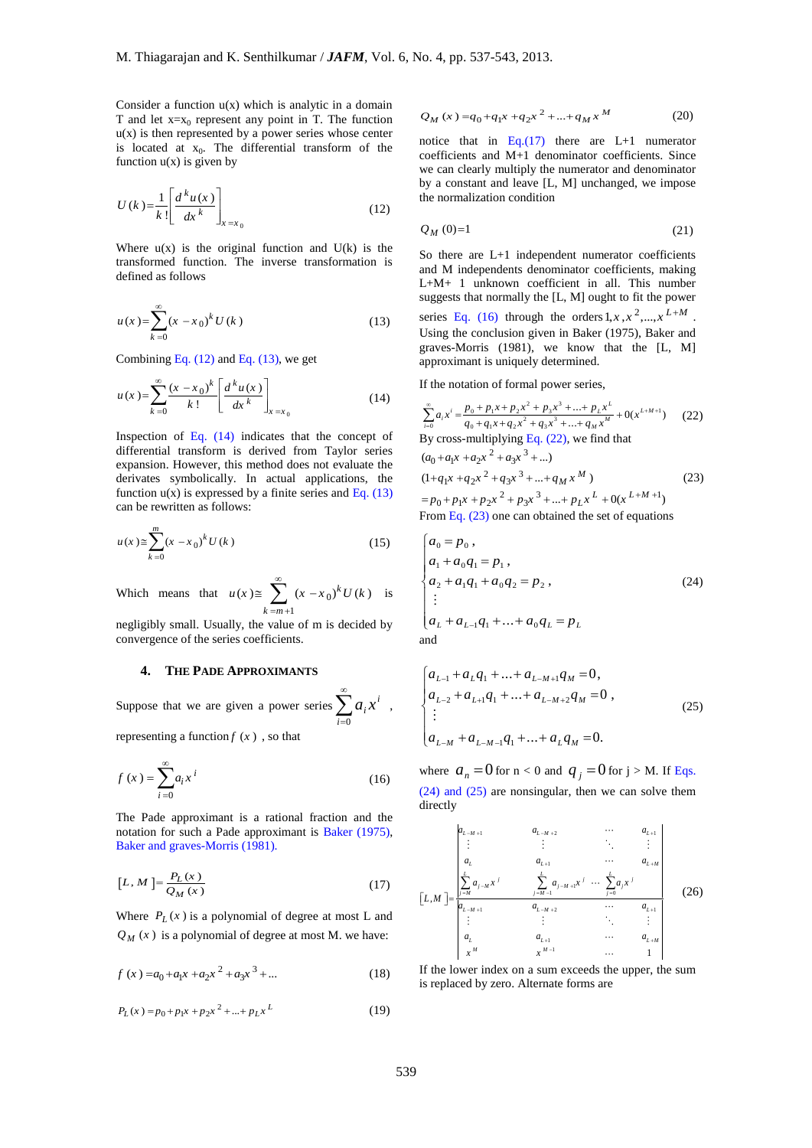Consider a function  $u(x)$  which is analytic in a domain T and let  $x=x_0$  represent any point in T. The function  $u(x)$  is then represented by a power series whose center is located at  $x_0$ . The differential transform of the function  $u(x)$  is given by

$$
U(k) = \frac{1}{k!} \left[ \frac{d^k u(x)}{dx^k} \right]_{x = x_0}
$$
 (12)

Where  $u(x)$  is the original function and  $U(k)$  is the transformed function. The inverse transformation is defined as follows

$$
u(x) = \sum_{k=0}^{\infty} (x - x_0)^k U(k)
$$
 (13)

Combining Eq.  $(12)$  and Eq.  $(13)$ , we get

$$
u(x) = \sum_{k=0}^{\infty} \frac{(x - x_0)^k}{k!} \left[ \frac{d^k u(x)}{dx^k} \right]_{x = x_0}
$$
 (14)

Inspection of Eq. (14) indicates that the concept of differential transform is derived from Taylor series expansion. However, this method does not evaluate the derivates symbolically. In actual applications, the function  $u(x)$  is expressed by a finite series and Eq. (13) can be rewritten as follows:

$$
u(x) \ge \sum_{k=0}^{m} (x - x_0)^k U(k)
$$
 (15)

Which means that  $u(x) \equiv \sum_{n=0}^{\infty} (x - x_0)$ 1  $(x) \cong \sum_{k=0}^{\infty} (x - x_0)^k U(k)$  $k = m$  $u(x) \equiv \sum_{k=0}^{\infty} (x - x_0)^k U(k)$  $\approx \sum_{k=m+1} (x - x_0)^k U(k)$  is

negligibly small. Usually, the value of m is decided by convergence of the series coefficients.

## **4. THE PADE APPROXIMANTS**

Suppose that we are given a power series  $\sum_{n=1}^{\infty}$  $i=0$  $a_i x^i$ ,

representing a function  $f(x)$ , so that

$$
f(x) = \sum_{i=0}^{\infty} a_i x^i
$$
 (16)

The Pade approximant is a rational fraction and the notation for such a Pade approximant is Baker (1975), Baker and graves-Morris (1981).

$$
[L, M] = \frac{P_L(x)}{Q_M(x)}\tag{17}
$$

Where  $P_L(x)$  is a polynomial of degree at most L and  $Q_M(x)$  is a polynomial of degree at most M. we have:

$$
f(x) = a_0 + a_1 x + a_2 x^2 + a_3 x^3 + \dots
$$
 (18)

$$
P_L(x) = p_0 + p_1 x + p_2 x^2 + \dots + p_L x^L
$$
 (19)

$$
Q_M(x) = q_0 + q_1 x + q_2 x^2 + \dots + q_M x^M
$$
 (20)

notice that in Eq.(17) there are  $L+1$  numerator coefficients and M+1 denominator coefficients. Since we can clearly multiply the numerator and denominator by a constant and leave [L, M] unchanged, we impose the normalization condition

$$
Q_M(0)=1\tag{21}
$$

So there are L+1 independent numerator coefficients and M independents denominator coefficients, making L+M+ 1 unknown coefficient in all. This number suggests that normally the [L, M] ought to fit the power series Eq. (16) through the orders  $1, x, x^2, \dots, x^{L+M}$ . Using the conclusion given in Baker (1975), Baker and graves-Morris (1981), we know that the [L, M] approximant is uniquely determined.

If the notation of formal power series,

$$
\sum_{i=0}^{\infty} a_i x^i = \frac{p_0 + p_1 x + p_2 x^2 + p_3 x^3 + \dots + p_L x^L}{q_0 + q_1 x + q_2 x^2 + q_3 x^3 + \dots + q_M x^M} + 0(x^{L+M+1})
$$
 (22)  
By cross-multiplying Eq. (22), we find that  

$$
(a_0 + a_1 x + a_2 x^2 + a_3 x^3 + \dots)
$$

$$
(1 + q_1 x + q_2 x^2 + q_3 x^3 + \dots + q_M x^M)
$$
 (23)  

$$
= p_0 + p_1 x + p_2 x^2 + p_3 x^3 + \dots + p_L x^L + 0(x^{L+M+1})
$$

From Eq. 
$$
(23)
$$
 one can obtained the set of equations

$$
\begin{cases}\na_0 = p_0, \\
a_1 + a_0 q_1 = p_1, \\
a_2 + a_1 q_1 + a_0 q_2 = p_2, \\
\vdots \\
a_L + a_{L-1} q_1 + \dots + a_0 q_L = p_L\n\end{cases}
$$
\n(24)

$$
\begin{cases}\na_{L-1} + a_L q_1 + \dots + a_{L-M+1} q_M = 0, \\
a_{L-2} + a_{L+1} q_1 + \dots + a_{L-M+2} q_M = 0, \\
\vdots \\
a_{L-M} + a_{L-M-1} q_1 + \dots + a_L q_M = 0.\n\end{cases}
$$
\n(25)

where  $a_n = 0$  for  $n < 0$  and  $q_j = 0$  for  $j > M$ . If Eqs. (24) and (25) are nonsingular, then we can solve them directly

$$
\begin{bmatrix} L,M \end{bmatrix} = \frac{\begin{vmatrix} a_{L-M+1} & a_{L-M+2} & \cdots & a_{L+1} \\ \vdots & \vdots & \ddots & \vdots \\ a_L & a_{L+1} & \cdots & a_{L+M} \\ \frac{\sum_{j=M} a_{j-M} x^j}{a_{L-M+1}} & \frac{\sum_{j=M-1} a_{j-M+1} x^j \cdots \sum_{j=0}^L a_j x^j}{a_{L+1}} & a_{L+1} \\ \vdots & \vdots & \ddots & \vdots \\ a_L & a_{L+1} & \cdots & a_{L+M} \\ x^M & x^{M-1} & \cdots & 1 \end{bmatrix}
$$
 (26)

If the lower index on a sum exceeds the upper, the sum is replaced by zero. Alternate forms are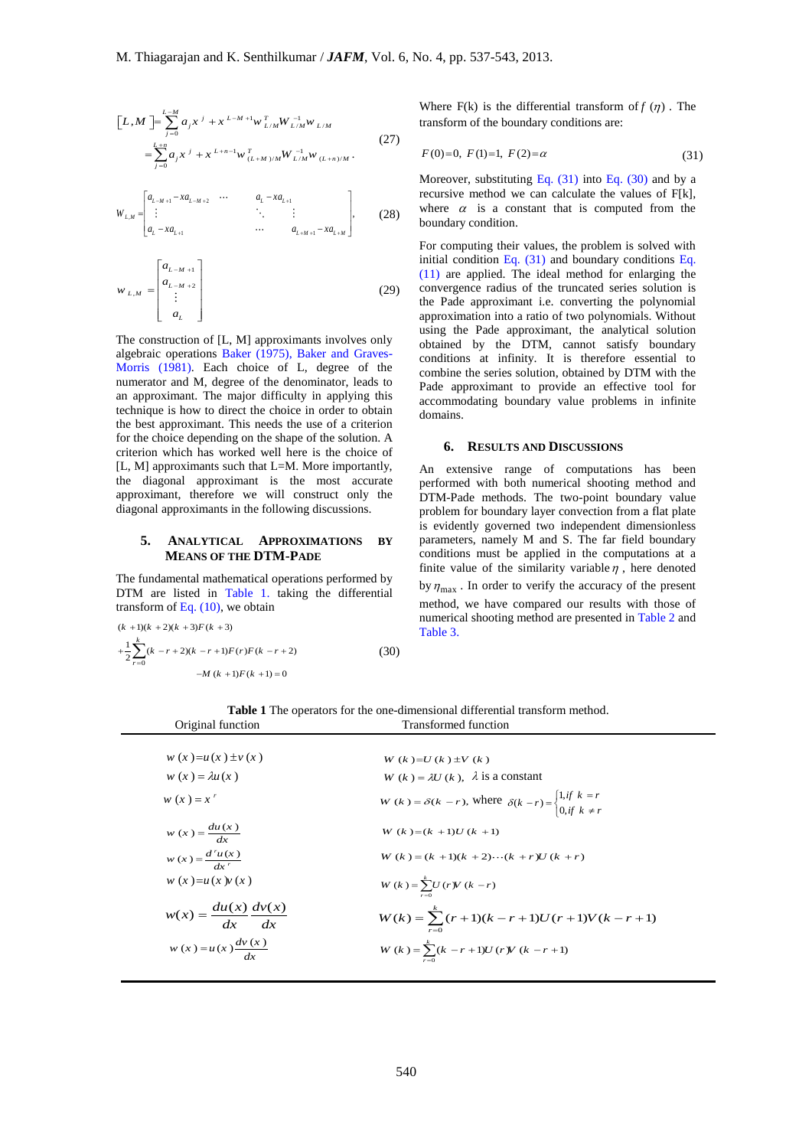$$
\[L,M\] = \sum_{j=0}^{L-M} a_j x^{j} + x^{L-M+1} w_{L/M}^{T} W_{L/M}^{-1} w_{L/M}
$$
\n
$$
= \sum_{j=0}^{L+n} a_j x^{j} + x^{L+n-1} w_{(L+M)/M}^{T} W_{L/M}^{-1} w_{(L+n)/M}.
$$
\n(27)

$$
W_{L,M} = \begin{bmatrix} a_{L-M+1} - x a_{L-M+2} & \cdots & a_{L} - x a_{L+1} \\ \vdots & \ddots & \vdots \\ a_{L} - x a_{L+1} & \cdots & a_{L+M+1} - x a_{L+M} \end{bmatrix},
$$
 (28)

$$
w_{L,M} = \begin{bmatrix} a_{L-M+1} \\ a_{L-M+2} \\ \vdots \\ a_L \end{bmatrix}
$$
 (29)

## **5. ANALYTICAL APPROXIMATIONS BY MEANS OF THE DTM-PADE**

$$
(k+1)(k+2)(k+3)F(k+3)
$$
  
+
$$
\frac{1}{2}\sum_{r=0}^{k} (k-r+2)(k-r+1)F(r)F(k-r+2)
$$
  
-
$$
M(k+1)F(k+1) = 0
$$
 (30)

Where  $F(k)$  is the differential transform of  $f(\eta)$ . The transform of the boundary conditions are:

$$
F(0)=0, F(1)=1, F(2)=\alpha
$$
\n(31)

Moreover, substituting Eq.  $(31)$  into Eq.  $(30)$  and by a recursive method we can calculate the values of F[k], where  $\alpha$  is a constant that is computed from the boundary condition.

For computing their values, the problem is solved with initial condition Eq. (31) and boundary conditions Eq. (11) are applied. The ideal method for enlarging the convergence radius of the truncated series solution is the Pade approximant i.e. converting the polynomial approximation into a ratio of two polynomials. Without using the Pade approximant, the analytical solution obtained by the DTM, cannot satisfy boundary conditions at infinity. It is therefore essential to combine the series solution, obtained by DTM with the Pade approximant to provide an effective tool for accommodating boundary value problems in infinite domains.

### **6. RESULTS AND DISCUSSIONS**

An extensive range of computations has been performed with both numerical shooting method and DTM-Pade methods. The two-point boundary value problem for boundary layer convection from a flat plate is evidently governed two independent dimensionless parameters, namely M and S. The far field boundary conditions must be applied in the computations at a finite value of the similarity variable  $\eta$ , here denoted by  $\eta_{\text{max}}$ . In order to verify the accuracy of the present method, we have compared our results with those of numerical shooting method are presented in Table 2 and Table 3.

**Table 1** The operators for the one-dimensional differential transform method. Original function Transformed function

| $[L,M] = \sum_{j=0}^{L-M} a_j x^{j} + x^{L-M+1} w_{L/M}^{T} W_{L/M}^{-1} w_{L/M}$                                                                                                                                                                                                                                                                                                                                                                                                            | (27) | where $F(x)$ is the differential transform or $f(y)$<br>transform of the boundary conditions are:                                                                                                                                                                                                                                                                                                                                                                                                                                                                                                                               |  |
|----------------------------------------------------------------------------------------------------------------------------------------------------------------------------------------------------------------------------------------------------------------------------------------------------------------------------------------------------------------------------------------------------------------------------------------------------------------------------------------------|------|---------------------------------------------------------------------------------------------------------------------------------------------------------------------------------------------------------------------------------------------------------------------------------------------------------------------------------------------------------------------------------------------------------------------------------------------------------------------------------------------------------------------------------------------------------------------------------------------------------------------------------|--|
| $=\sum_{i=0}^{L+n} a_{i} x^{i} + x^{L+n-1} w^{T}_{(L+M)/M} W^{-1}_{L/M} w_{(L+n)/M}.$                                                                                                                                                                                                                                                                                                                                                                                                        |      | $F(0)=0, F(1)=1, F(2)=\alpha$                                                                                                                                                                                                                                                                                                                                                                                                                                                                                                                                                                                                   |  |
| $\begin{bmatrix} \begin{bmatrix} a_{L-M+1}-xa_{L-M+2} & \cdots & a_{L}-xa_{L+1} \\ \vdots & \ddots & \vdots \\ a_{L}-xa_{L+1} & \cdots & a_{L+M+1}-xa_{L+M} \end{bmatrix} \end{bmatrix},$                                                                                                                                                                                                                                                                                                    | (28) | Moreover, substituting Eq. $(31)$ into Eq. $(30)$ and<br>recursive method we can calculate the values of<br>where $\alpha$ is a constant that is computed fro<br>boundary condition.                                                                                                                                                                                                                                                                                                                                                                                                                                            |  |
| $v_{L,M} = \begin{bmatrix} a_{L-M+1} \\ a_{L-M+2} \\ \vdots \\ a_{L-M+2} \end{bmatrix}$<br>he construction of [L, M] approximants involves only<br>Igebraic operations Baker (1975), Baker and Graves-<br>forris (1981). Each choice of L, degree of the<br>umerator and M, degree of the denominator, leads to<br>n approximant. The major difficulty in applying this<br>echnique is how to direct the choice in order to obtain<br>ne best approximant. This needs the use of a criterion | (29) | For computing their values, the problem is solve<br>initial condition Eq. $(31)$ and boundary conditio<br>$(11)$ are applied. The ideal method for enlarging<br>convergence radius of the truncated series solu-<br>the Pade approximant i.e. converting the polyn<br>approximation into a ratio of two polynomials. W<br>using the Pade approximant, the analytical so<br>obtained by the DTM, cannot satisfy bou<br>conditions at infinity. It is therefore essent<br>combine the series solution, obtained by DTM w<br>Pade approximant to provide an effective to<br>accommodating boundary value problems in i<br>domains. |  |
| or the choice depending on the shape of the solution. A<br>riterion which has worked well here is the choice of                                                                                                                                                                                                                                                                                                                                                                              |      | <b>RESULTS AND DISCUSSIONS</b><br>6.                                                                                                                                                                                                                                                                                                                                                                                                                                                                                                                                                                                            |  |
| L, M] approximants such that L=M. More importantly,<br>ne diagonal approximant is the most accurate<br>pproximant, therefore we will construct only the<br>iagonal approximants in the following discussions.<br>5.<br>ANALYTICAL APPROXIMATIONS                                                                                                                                                                                                                                             | BY   | An extensive range of computations has<br>performed with both numerical shooting metho<br>DTM-Pade methods. The two-point boundary<br>problem for boundary layer convection from a fla<br>is evidently governed two independent dimensi<br>parameters, namely M and S. The far field bot                                                                                                                                                                                                                                                                                                                                        |  |
| <b>MEANS OF THE DTM-PADE</b><br>he fundamental mathematical operations performed by<br>TM are listed in Table 1. taking the differential                                                                                                                                                                                                                                                                                                                                                     |      | conditions must be applied in the computation<br>finite value of the similarity variable $\eta$ , here definite<br>by $\eta_{\text{max}}$ . In order to verify the accuracy of the p                                                                                                                                                                                                                                                                                                                                                                                                                                            |  |
| ansform of Eq. $(10)$ , we obtain<br>$(k + 1)(k + 2)(k + 3)F(k + 3)$                                                                                                                                                                                                                                                                                                                                                                                                                         |      | method, we have compared our results with the<br>numerical shooting method are presented in Table                                                                                                                                                                                                                                                                                                                                                                                                                                                                                                                               |  |
| $\frac{1}{2}\sum_{r=0}^{k}(k-r+2)(k-r+1)F(r)F(k-r+2)$                                                                                                                                                                                                                                                                                                                                                                                                                                        | (30) | Table 3.                                                                                                                                                                                                                                                                                                                                                                                                                                                                                                                                                                                                                        |  |
| $-M (k + 1)F (k + 1) = 0$                                                                                                                                                                                                                                                                                                                                                                                                                                                                    |      |                                                                                                                                                                                                                                                                                                                                                                                                                                                                                                                                                                                                                                 |  |
| Original function                                                                                                                                                                                                                                                                                                                                                                                                                                                                            |      | <b>Table 1</b> The operators for the one-dimensional differential transform method.<br><b>Transformed function</b>                                                                                                                                                                                                                                                                                                                                                                                                                                                                                                              |  |
| $w(x) = u(x) \pm v(x)$                                                                                                                                                                                                                                                                                                                                                                                                                                                                       |      | $W(k) = U(k) \pm V(k)$                                                                                                                                                                                                                                                                                                                                                                                                                                                                                                                                                                                                          |  |
| $w(x) = \lambda u(x)$                                                                                                                                                                                                                                                                                                                                                                                                                                                                        |      | $W(k) = \lambda U(k)$ , $\lambda$ is a constant                                                                                                                                                                                                                                                                                                                                                                                                                                                                                                                                                                                 |  |
| $w(x) = x^r$                                                                                                                                                                                                                                                                                                                                                                                                                                                                                 |      | $W(k) = \delta(k - r)$ , where $\delta(k - r) =\begin{cases} 1, & \text{if } k = r \\ 0, & \text{if } k \neq r \end{cases}$                                                                                                                                                                                                                                                                                                                                                                                                                                                                                                     |  |
| $w(x) = \frac{du(x)}{dx}$                                                                                                                                                                                                                                                                                                                                                                                                                                                                    |      | $W(k) = (k + 1)U(k + 1)$                                                                                                                                                                                                                                                                                                                                                                                                                                                                                                                                                                                                        |  |
| $w(x) = \frac{d^{r}u(x)}{dx^{r}}$                                                                                                                                                                                                                                                                                                                                                                                                                                                            |      | $W(k) = (k + 1)(k + 2) \cdots (k + r)U(k + r)$                                                                                                                                                                                                                                                                                                                                                                                                                                                                                                                                                                                  |  |
| $w(x) = u(x) v(x)$                                                                                                                                                                                                                                                                                                                                                                                                                                                                           |      | $W(k) = \sum_{r=0}^{k} U(r) V(k-r)$                                                                                                                                                                                                                                                                                                                                                                                                                                                                                                                                                                                             |  |
| $w(x) = \frac{du(x)}{dx} \frac{dv(x)}{dx}$                                                                                                                                                                                                                                                                                                                                                                                                                                                   |      | $W(k) = \sum_{r=0}^{k} (r+1)(k-r+1)U(r+1)V(k-r+1)$                                                                                                                                                                                                                                                                                                                                                                                                                                                                                                                                                                              |  |
| $w(x) = u(x) \frac{dv(x)}{dx}$                                                                                                                                                                                                                                                                                                                                                                                                                                                               |      | $W(k) = \sum_{r=0}^{k} (k - r + 1)U(r)V(k - r + 1)$                                                                                                                                                                                                                                                                                                                                                                                                                                                                                                                                                                             |  |
|                                                                                                                                                                                                                                                                                                                                                                                                                                                                                              |      |                                                                                                                                                                                                                                                                                                                                                                                                                                                                                                                                                                                                                                 |  |
|                                                                                                                                                                                                                                                                                                                                                                                                                                                                                              |      |                                                                                                                                                                                                                                                                                                                                                                                                                                                                                                                                                                                                                                 |  |
|                                                                                                                                                                                                                                                                                                                                                                                                                                                                                              |      |                                                                                                                                                                                                                                                                                                                                                                                                                                                                                                                                                                                                                                 |  |
|                                                                                                                                                                                                                                                                                                                                                                                                                                                                                              | 540  |                                                                                                                                                                                                                                                                                                                                                                                                                                                                                                                                                                                                                                 |  |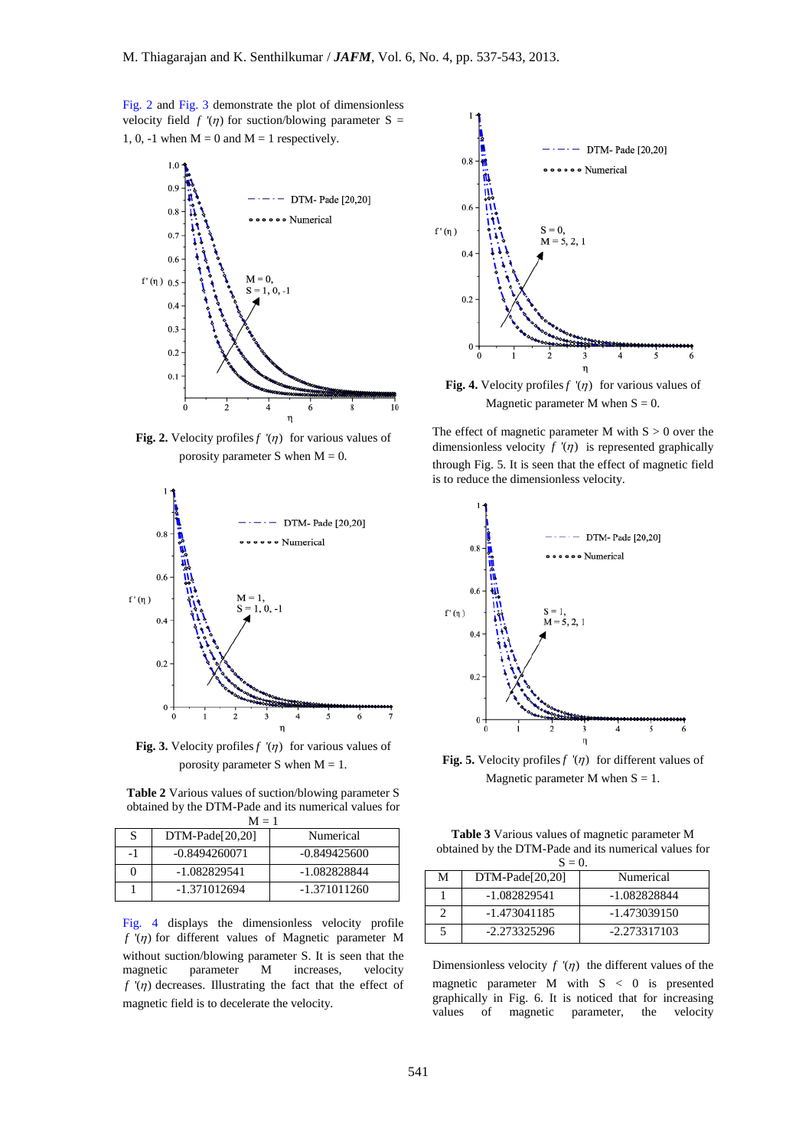Fig. 2 and Fig. 3 demonstrate the plot of dimensionless velocity field  $f'(n)$  for suction/blowing parameter S = 1, 0, -1 when  $M = 0$  and  $M = 1$  respectively.



**Fig. 2.** Velocity profiles  $f'(n)$  for various values of porosity parameter S when  $M = 0$ .



**Fig. 3.** Velocity profiles  $f'(n)$  for various values of porosity parameter S when  $M = 1$ .

**Table 2** Various values of suction/blowing parameter S obtained by the DTM-Pade and its numerical values for

| $M = 1$ |                   |                |  |
|---------|-------------------|----------------|--|
| S       | $DTM-Pade[20,20]$ | Numerical      |  |
| -1      | $-0.8494260071$   | $-0.849425600$ |  |
| $_{0}$  | $-1.082829541$    | -1.082828844   |  |
|         | -1.371012694      | $-1.371011260$ |  |

Fig. 4 displays the dimensionless velocity profile  $f'(\eta)$  for different values of Magnetic parameter M without suction/blowing parameter S. It is seen that the magnetic parameter M increases, velocity  $f'(\eta)$  decreases. Illustrating the fact that the effect of magnetic field is to decelerate the velocity.



**Fig. 4.** Velocity profiles  $f'(n)$  for various values of Magnetic parameter M when  $S = 0$ .

The effect of magnetic parameter M with  $S > 0$  over the dimensionless velocity  $f'(n)$  is represented graphically through Fig. 5. It is seen that the effect of magnetic field is to reduce the dimensionless velocity.



**Fig. 5.** Velocity profiles  $f'(n)$  for different values of Magnetic parameter M when  $S = 1$ .

**Table 3** Various values of magnetic parameter M obtained by the DTM-Pade and its numerical values for

| $S=0$ . |                   |                |  |
|---------|-------------------|----------------|--|
| M       | $DTM-Pade[20,20]$ | Numerical      |  |
|         | $-1.082829541$    | -1.082828844   |  |
|         | -1.473041185      | $-1.473039150$ |  |
|         | $-2.273325296$    | $-2.273317103$ |  |

Dimensionless velocity  $f'(n)$  the different values of the magnetic parameter M with  $S < 0$  is presented graphically in Fig. 6. It is noticed that for increasing values of magnetic parameter, the velocity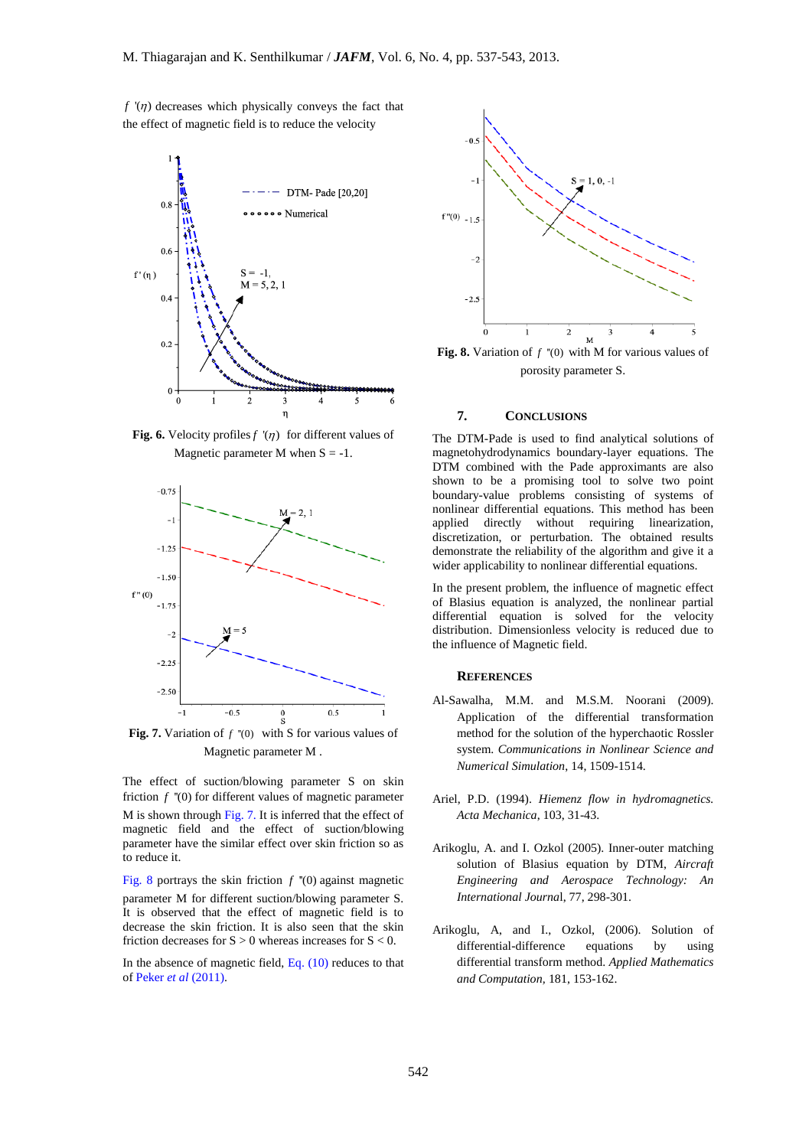$f'(\eta)$  decreases which physically conveys the fact that the effect of magnetic field is to reduce the velocity



**Fig. 6.** Velocity profiles  $f'(\eta)$  for different values of Magnetic parameter M when  $S = -1$ .



**Fig. 7.** Variation of  $f''(0)$  with S for various values of Magnetic parameter M .

The effect of suction/blowing parameter S on skin friction  $f$  "(0) for different values of magnetic parameter M is shown through Fig. 7. It is inferred that the effect of magnetic field and the effect of suction/blowing parameter have the similar effect over skin friction so as to reduce it.

Fig. 8 portrays the skin friction  $f''(0)$  against magnetic parameter M for different suction/blowing parameter S. It is observed that the effect of magnetic field is to decrease the skin friction. It is also seen that the skin friction decreases for  $S > 0$  whereas increases for  $S < 0$ .

In the absence of magnetic field, Eq. (10) reduces to that of Peker *et al* (2011).



**Fig. 8.** Variation of  $f''(0)$  with M for various values of porosity parameter S.

## **7. CONCLUSIONS**

The DTM-Pade is used to find analytical solutions of magnetohydrodynamics boundary-layer equations. The DTM combined with the Pade approximants are also shown to be a promising tool to solve two point boundary-value problems consisting of systems of nonlinear differential equations. This method has been applied directly without requiring linearization, discretization, or perturbation. The obtained results demonstrate the reliability of the algorithm and give it a wider applicability to nonlinear differential equations.

In the present problem, the influence of magnetic effect of Blasius equation is analyzed, the nonlinear partial differential equation is solved for the velocity distribution. Dimensionless velocity is reduced due to the influence of Magnetic field.

#### **REFERENCES**

- Al-Sawalha, M.M. and M.S.M. Noorani (2009). Application of the differential transformation method for the solution of the hyperchaotic Rossler system. *Communications in Nonlinear Science and Numerical Simulation*, 14, 1509-1514.
- Ariel, P.D. (1994). *Hiemenz flow in hydromagnetics. Acta Mechanica*, 103, 31-43.
- Arikoglu, A. and I. Ozkol (2005). Inner-outer matching solution of Blasius equation by DTM, *Aircraft Engineering and Aerospace Technology: An International Journa*l, 77, 298-301.
- Arikoglu, A, and I., Ozkol, (2006). Solution of differential-difference equations by using differential transform method. *Applied Mathematics and Computation,* 181, 153-162.